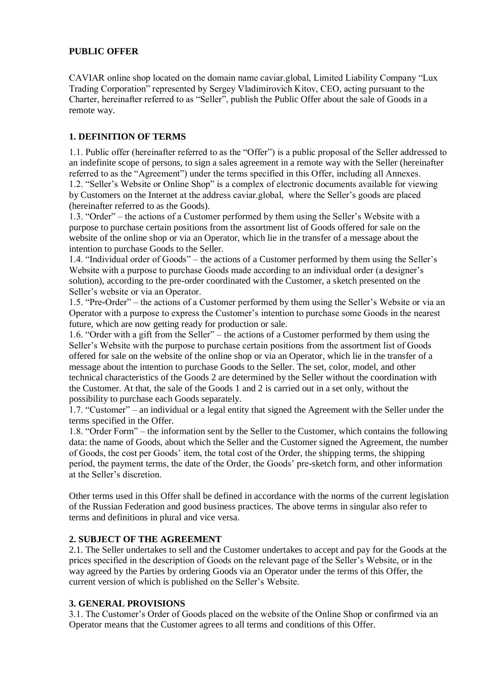## **PUBLIC OFFER**

CAVIAR online shop located on the domain name caviar.global, Limited Liability Company "Lux Trading Corporation" represented by Sergey Vladimirovich Kitov, CEO, acting pursuant to the Charter, hereinafter referred to as "Seller", publish the Public Offer about the sale of Goods in a remote way.

## **1. DEFINITION OF TERMS**

1.1. Public offer (hereinafter referred to as the "Offer") is a public proposal of the Seller addressed to an indefinite scope of persons, to sign a sales agreement in a remote way with the Seller (hereinafter referred to as the "Agreement") under the terms specified in this Offer, including all Annexes. 1.2. "Seller's Website or Online Shop" is a complex of electronic documents available for viewing by Customers on the Internet at the address caviar.global, where the Seller's goods are placed (hereinafter referred to as the Goods).

1.3. "Order" – the actions of a Customer performed by them using the Seller's Website with a purpose to purchase certain positions from the assortment list of Goods offered for sale on the website of the online shop or via an Operator, which lie in the transfer of a message about the intention to purchase Goods to the Seller.

1.4. "Individual order of Goods" – the actions of a Customer performed by them using the Seller's Website with a purpose to purchase Goods made according to an individual order (a designer's solution), according to the pre-order coordinated with the Customer, a sketch presented on the Seller's website or via an Operator.

1.5. "Pre-Order" – the actions of a Customer performed by them using the Seller's Website or via an Operator with a purpose to express the Customer's intention to purchase some Goods in the nearest future, which are now getting ready for production or sale.

1.6. "Order with a gift from the Seller" – the actions of a Customer performed by them using the Seller's Website with the purpose to purchase certain positions from the assortment list of Goods offered for sale on the website of the online shop or via an Operator, which lie in the transfer of a message about the intention to purchase Goods to the Seller. The set, color, model, and other technical characteristics of the Goods 2 are determined by the Seller without the coordination with the Customer. At that, the sale of the Goods 1 and 2 is carried out in a set only, without the possibility to purchase each Goods separately.

1.7. "Customer" – an individual or a legal entity that signed the Agreement with the Seller under the terms specified in the Offer.

1.8. "Order Form" – the information sent by the Seller to the Customer, which contains the following data: the name of Goods, about which the Seller and the Customer signed the Agreement, the number of Goods, the cost per Goods' item, the total cost of the Order, the shipping terms, the shipping period, the payment terms, the date of the Order, the Goods' pre-sketch form, and other information at the Seller's discretion.

Other terms used in this Offer shall be defined in accordance with the norms of the current legislation of the Russian Federation and good business practices. The above terms in singular also refer to terms and definitions in plural and vice versa.

#### **2. SUBJECT OF THE AGREEMENT**

2.1. The Seller undertakes to sell and the Customer undertakes to accept and pay for the Goods at the prices specified in the description of Goods on the relevant page of the Seller's Website, or in the way agreed by the Parties by ordering Goods via an Operator under the terms of this Offer, the current version of which is published on the Seller's Website.

#### **3. GENERAL PROVISIONS**

3.1. The Customer's Order of Goods placed on the website of the Online Shop or confirmed via an Operator means that the Customer agrees to all terms and conditions of this Offer.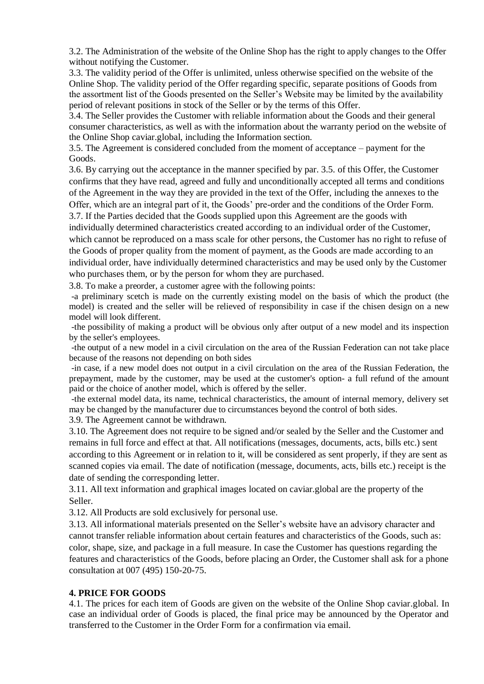3.2. The Administration of the website of the Online Shop has the right to apply changes to the Offer without notifying the Customer.

3.3. The validity period of the Offer is unlimited, unless otherwise specified on the website of the Online Shop. The validity period of the Offer regarding specific, separate positions of Goods from the assortment list of the Goods presented on the Seller's Website may be limited by the availability period of relevant positions in stock of the Seller or by the terms of this Offer.

3.4. The Seller provides the Customer with reliable information about the Goods and their general consumer characteristics, as well as with the information about the warranty period on the website of the Online Shop caviar.global, including the Information section.

3.5. The Agreement is considered concluded from the moment of acceptance – payment for the Goods.

3.6. By carrying out the acceptance in the manner specified by par. 3.5. of this Offer, the Customer confirms that they have read, agreed and fully and unconditionally accepted all terms and conditions of the Agreement in the way they are provided in the text of the Offer, including the annexes to the Offer, which are an integral part of it, the Goods' pre-order and the conditions of the Order Form.

3.7. If the Parties decided that the Goods supplied upon this Agreement are the goods with individually determined characteristics created according to an individual order of the Customer, which cannot be reproduced on a mass scale for other persons, the Customer has no right to refuse of the Goods of proper quality from the moment of payment, as the Goods are made according to an individual order, have individually determined characteristics and may be used only by the Customer who purchases them, or by the person for whom they are purchased.

3.8. To make a preorder, a customer agree with the following points:

-a preliminary scetch is made on the currently existing model on the basis of which the product (the model) is created and the seller will be relieved of responsibility in case if the chisen design on a new model will look different.

-the possibility of making a product will be obvious only after output of a new model and its inspection by the seller's employees.

-the output of a new model in a civil circulation on the area of the Russian Federation can not take place because of the reasons not depending on both sides

-in case, if a new model does not output in a civil circulation on the area of the Russian Federation, the prepayment, made by the customer, may be used at the customer's option- a full refund of the amount paid or the choice of another model, which is offered by the seller.

-the external model data, its name, technical characteristics, the amount of internal memory, delivery set may be changed by the manufacturer due to circumstances beyond the control of both sides.

3.9. The Agreement cannot be withdrawn.

3.10. The Agreement does not require to be signed and/or sealed by the Seller and the Customer and remains in full force and effect at that. All notifications (messages, documents, acts, bills etc.) sent according to this Agreement or in relation to it, will be considered as sent properly, if they are sent as scanned copies via email. The date of notification (message, documents, acts, bills etc.) receipt is the date of sending the corresponding letter.

3.11. All text information and graphical images located on caviar.global are the property of the Seller.

3.12. All Products are sold exclusively for personal use.

3.13. All informational materials presented on the Seller's website have an advisory character and cannot transfer reliable information about certain features and characteristics of the Goods, such as: color, shape, size, and package in a full measure. In case the Customer has questions regarding the features and characteristics of the Goods, before placing an Order, the Customer shall ask for a phone consultation at 007 (495) 150-20-75.

#### **4. PRICE FOR GOODS**

4.1. The prices for each item of Goods are given on the website of the Online Shop caviar.global. In case an individual order of Goods is placed, the final price may be announced by the Operator and transferred to the Customer in the Order Form for a confirmation via email.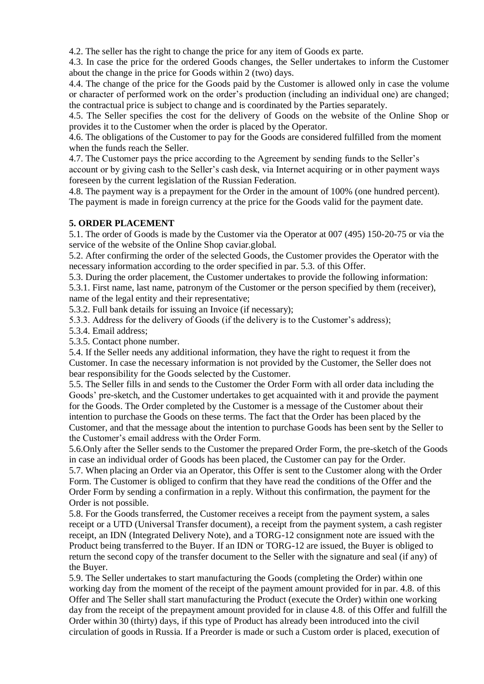4.2. The seller has the right to change the price for any item of Goods ex parte.

4.3. In case the price for the ordered Goods changes, the Seller undertakes to inform the Customer about the change in the price for Goods within 2 (two) days.

4.4. The change of the price for the Goods paid by the Customer is allowed only in case the volume or character of performed work on the order's production (including an individual one) are changed; the contractual price is subject to change and is coordinated by the Parties separately.

4.5. The Seller specifies the cost for the delivery of Goods on the website of the Online Shop or provides it to the Customer when the order is placed by the Operator.

4.6. The obligations of the Customer to pay for the Goods are considered fulfilled from the moment when the funds reach the Seller.

4.7. The Customer pays the price according to the Agreement by sending funds to the Seller's account or by giving cash to the Seller's cash desk, via Internet acquiring or in other payment ways foreseen by the current legislation of the Russian Federation.

4.8. The payment way is a prepayment for the Order in the amount of 100% (one hundred percent). The payment is made in foreign currency at the price for the Goods valid for the payment date.

## **5. ORDER PLACEMENT**

5.1. The order of Goods is made by the Customer via the Operator at 007 (495) 150-20-75 or via the service of the website of the Online Shop caviar.global.

5.2. After confirming the order of the selected Goods, the Customer provides the Operator with the necessary information according to the order specified in par. 5.3. of this Offer.

5.3. During the order placement, the Customer undertakes to provide the following information:

5.3.1. First name, last name, patronym of the Customer or the person specified by them (receiver), name of the legal entity and their representative;

5.3.2. Full bank details for issuing an Invoice (if necessary);

5.3.3. Address for the delivery of Goods (if the delivery is to the Customer's address);

5.3.4. Email address;

5.3.5. Contact phone number.

5.4. If the Seller needs any additional information, they have the right to request it from the Customer. In case the necessary information is not provided by the Customer, the Seller does not bear responsibility for the Goods selected by the Customer.

5.5. The Seller fills in and sends to the Customer the Order Form with all order data including the Goods' pre-sketch, and the Customer undertakes to get acquainted with it and provide the payment for the Goods. The Order completed by the Customer is a message of the Customer about their intention to purchase the Goods on these terms. The fact that the Order has been placed by the Customer, and that the message about the intention to purchase Goods has been sent by the Seller to the Customer's email address with the Order Form.

5.6.Only after the Seller sends to the Customer the prepared Order Form, the pre-sketch of the Goods in case an individual order of Goods has been placed, the Customer can pay for the Order. 5.7. When placing an Order via an Operator, this Offer is sent to the Customer along with the Order Form. The Customer is obliged to confirm that they have read the conditions of the Offer and the Order Form by sending a confirmation in a reply. Without this confirmation, the payment for the

Order is not possible.

5.8. For the Goods transferred, the Customer receives a receipt from the payment system, a sales receipt or a UTD (Universal Transfer document), a receipt from the payment system, a cash register receipt, an IDN (Integrated Delivery Note), and a TORG-12 consignment note are issued with the Product being transferred to the Buyer. If an IDN or TORG-12 are issued, the Buyer is obliged to return the second copy of the transfer document to the Seller with the signature and seal (if any) of the Buyer.

5.9. The Seller undertakes to start manufacturing the Goods (completing the Order) within one working day from the moment of the receipt of the payment amount provided for in par. 4.8. of this Offer and The Seller shall start manufacturing the Product (execute the Order) within one working day from the receipt of the prepayment amount provided for in clause 4.8. of this Offer and fulfill the Order within 30 (thirty) days, if this type of Product has already been introduced into the civil circulation of goods in Russia. If a Preorder is made or such a Custom order is placed, execution of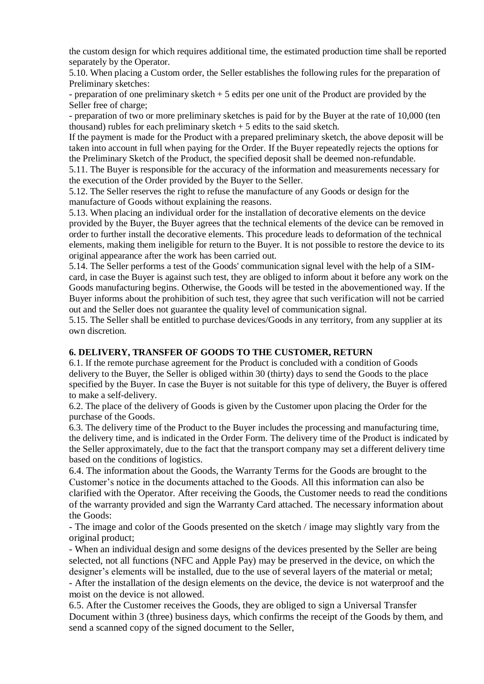the custom design for which requires additional time, the estimated production time shall be reported separately by the Operator.

5.10. When placing a Custom order, the Seller establishes the following rules for the preparation of Preliminary sketches:

- preparation of one preliminary sketch + 5 edits per one unit of the Product are provided by the Seller free of charge;

- preparation of two or more preliminary sketches is paid for by the Buyer at the rate of 10,000 (ten thousand) rubles for each preliminary sketch  $+5$  edits to the said sketch.

If the payment is made for the Product with a prepared preliminary sketch, the above deposit will be taken into account in full when paying for the Order. If the Buyer repeatedly rejects the options for the Preliminary Sketch of the Product, the specified deposit shall be deemed non-refundable.

5.11. The Buyer is responsible for the accuracy of the information and measurements necessary for the execution of the Order provided by the Buyer to the Seller.

5.12. The Seller reserves the right to refuse the manufacture of any Goods or design for the manufacture of Goods without explaining the reasons.

5.13. When placing an individual order for the installation of decorative elements on the device provided by the Buyer, the Buyer agrees that the technical elements of the device can be removed in order to further install the decorative elements. This procedure leads to deformation of the technical elements, making them ineligible for return to the Buyer. It is not possible to restore the device to its original appearance after the work has been carried out.

5.14. The Seller performs a test of the Goods' communication signal level with the help of a SIMcard, in case the Buyer is against such test, they are obliged to inform about it before any work on the Goods manufacturing begins. Otherwise, the Goods will be tested in the abovementioned way. If the Buyer informs about the prohibition of such test, they agree that such verification will not be carried out and the Seller does not guarantee the quality level of communication signal.

5.15. The Seller shall be entitled to purchase devices/Goods in any territory, from any supplier at its own discretion.

#### **6. DELIVERY, TRANSFER OF GOODS TO THE CUSTOMER, RETURN**

6.1. If the remote purchase agreement for the Product is concluded with a condition of Goods delivery to the Buyer, the Seller is obliged within 30 (thirty) days to send the Goods to the place specified by the Buyer. In case the Buyer is not suitable for this type of delivery, the Buyer is offered to make a self-delivery.

6.2. The place of the delivery of Goods is given by the Customer upon placing the Order for the purchase of the Goods.

6.3. The delivery time of the Product to the Buyer includes the processing and manufacturing time, the delivery time, and is indicated in the Order Form. The delivery time of the Product is indicated by the Seller approximately, due to the fact that the transport company may set a different delivery time based on the conditions of logistics.

6.4. The information about the Goods, the Warranty Terms for the Goods are brought to the Customer's notice in the documents attached to the Goods. All this information can also be clarified with the Operator. After receiving the Goods, the Customer needs to read the conditions of the warranty provided and sign the Warranty Card attached. The necessary information about the Goods:

- The image and color of the Goods presented on the sketch / image may slightly vary from the original product;

- When an individual design and some designs of the devices presented by the Seller are being selected, not all functions (NFC and Apple Pay) may be preserved in the device, on which the designer's elements will be installed, due to the use of several layers of the material or metal; - After the installation of the design elements on the device, the device is not waterproof and the

moist on the device is not allowed.

6.5. After the Customer receives the Goods, they are obliged to sign a Universal Transfer Document within 3 (three) business days, which confirms the receipt of the Goods by them, and send a scanned copy of the signed document to the Seller,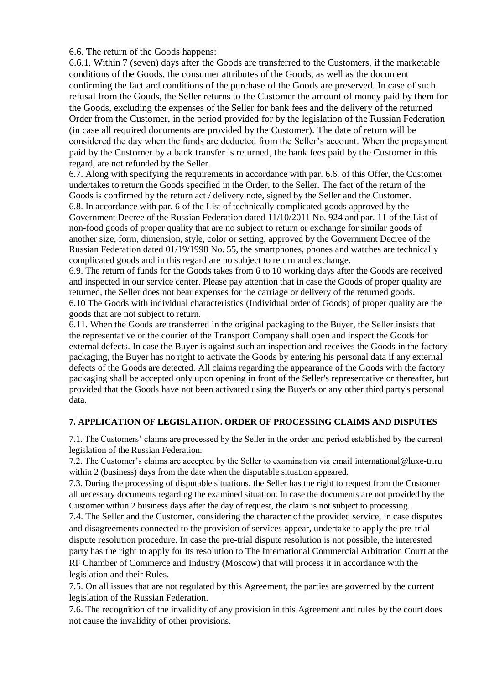6.6. The return of the Goods happens:

6.6.1. Within 7 (seven) days after the Goods are transferred to the Customers, if the marketable conditions of the Goods, the consumer attributes of the Goods, as well as the document confirming the fact and conditions of the purchase of the Goods are preserved. In case of such refusal from the Goods, the Seller returns to the Customer the amount of money paid by them for the Goods, excluding the expenses of the Seller for bank fees and the delivery of the returned Order from the Customer, in the period provided for by the legislation of the Russian Federation (in case all required documents are provided by the Customer). The date of return will be considered the day when the funds are deducted from the Seller's account. When the prepayment paid by the Customer by a bank transfer is returned, the bank fees paid by the Customer in this regard, are not refunded by the Seller.

6.7. Along with specifying the requirements in accordance with par. 6.6. of this Offer, the Customer undertakes to return the Goods specified in the Order, to the Seller. The fact of the return of the Goods is confirmed by the return act / delivery note, signed by the Seller and the Customer. 6.8. In accordance with par. 6 of the List of technically complicated goods approved by the Government Decree of the Russian Federation dated 11/10/2011 No. 924 and par. 11 of the List of non-food goods of proper quality that are no subject to return or exchange for similar goods of another size, form, dimension, style, color or setting, approved by the Government Decree of the Russian Federation dated 01/19/1998 No. 55, the smartphones, phones and watches are technically complicated goods and in this regard are no subject to return and exchange.

6.9. The return of funds for the Goods takes from 6 to 10 working days after the Goods are received and inspected in our service center. Please pay attention that in case the Goods of proper quality are returned, the Seller does not bear expenses for the carriage or delivery of the returned goods. 6.10 The Goods with individual characteristics (Individual order of Goods) of proper quality are the goods that are not subject to return.

6.11. When the Goods are transferred in the original packaging to the Buyer, the Seller insists that the representative or the courier of the Transport Company shall open and inspect the Goods for external defects. In case the Buyer is against such an inspection and receives the Goods in the factory packaging, the Buyer has no right to activate the Goods by entering his personal data if any external defects of the Goods are detected. All claims regarding the appearance of the Goods with the factory packaging shall be accepted only upon opening in front of the Seller's representative or thereafter, but provided that the Goods have not been activated using the Buyer's or any other third party's personal data.

#### **7. APPLICATION OF LEGISLATION. ORDER OF PROCESSING CLAIMS AND DISPUTES**

7.1. The Customers' claims are processed by the Seller in the order and period established by the current legislation of the Russian Federation.

7.2. The Customer's claims are accepted by the Seller to examination via email international@luxe-tr.ru within 2 (business) days from the date when the disputable situation appeared.

7.3. During the processing of disputable situations, the Seller has the right to request from the Customer all necessary documents regarding the examined situation. In case the documents are not provided by the Customer within 2 business days after the day of request, the claim is not subject to processing.

7.4. The Seller and the Customer, considering the character of the provided service, in case disputes and disagreements connected to the provision of services appear, undertake to apply the pre-trial dispute resolution procedure. In case the pre-trial dispute resolution is not possible, the interested party has the right to apply for its resolution to The International Commercial Arbitration Court at the RF Chamber of Commerce and Industry (Moscow) that will process it in accordance with the legislation and their Rules.

7.5. On all issues that are not regulated by this Agreement, the parties are governed by the current legislation of the Russian Federation.

7.6. The recognition of the invalidity of any provision in this Agreement and rules by the court does not cause the invalidity of other provisions.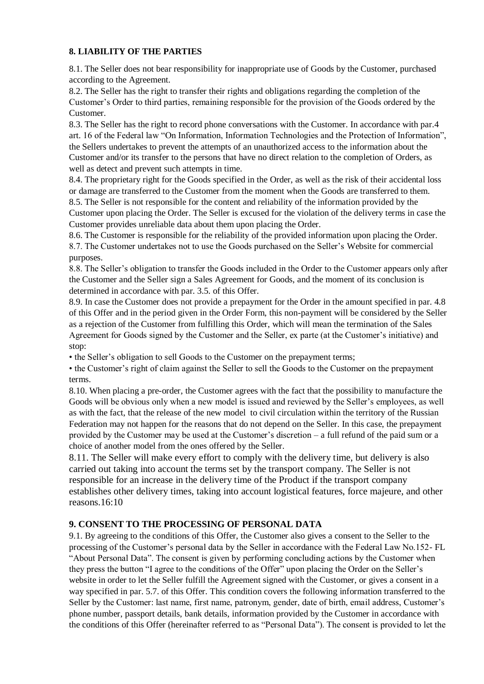#### **8. LIABILITY OF THE PARTIES**

8.1. The Seller does not bear responsibility for inappropriate use of Goods by the Customer, purchased according to the Agreement.

8.2. The Seller has the right to transfer their rights and obligations regarding the completion of the Customer's Order to third parties, remaining responsible for the provision of the Goods ordered by the Customer.

8.3. The Seller has the right to record phone conversations with the Customer. In accordance with par.4 art. 16 of the Federal law "On Information, Information Technologies and the Protection of Information", the Sellers undertakes to prevent the attempts of an unauthorized access to the information about the Customer and/or its transfer to the persons that have no direct relation to the completion of Orders, as well as detect and prevent such attempts in time.

8.4. The proprietary right for the Goods specified in the Order, as well as the risk of their accidental loss or damage are transferred to the Customer from the moment when the Goods are transferred to them.

8.5. The Seller is not responsible for the content and reliability of the information provided by the Customer upon placing the Order. The Seller is excused for the violation of the delivery terms in case the Customer provides unreliable data about them upon placing the Order.

8.6. The Customer is responsible for the reliability of the provided information upon placing the Order. 8.7. The Customer undertakes not to use the Goods purchased on the Seller's Website for commercial purposes.

8.8. The Seller's obligation to transfer the Goods included in the Order to the Customer appears only after the Customer and the Seller sign a Sales Agreement for Goods, and the moment of its conclusion is determined in accordance with par. 3.5. of this Offer.

8.9. In case the Customer does not provide a prepayment for the Order in the amount specified in par. 4.8 of this Offer and in the period given in the Order Form, this non-payment will be considered by the Seller as a rejection of the Customer from fulfilling this Order, which will mean the termination of the Sales Agreement for Goods signed by the Customer and the Seller, ex parte (at the Customer's initiative) and stop:

• the Seller's obligation to sell Goods to the Customer on the prepayment terms;

• the Customer's right of claim against the Seller to sell the Goods to the Customer on the prepayment terms.

8.10. When placing a pre-order, the Customer agrees with the fact that the possibility to manufacture the Goods will be obvious only when a new model is issued and reviewed by the Seller's employees, as well as with the fact, that the release of the new model to civil circulation within the territory of the Russian Federation may not happen for the reasons that do not depend on the Seller. In this case, the prepayment provided by the Customer may be used at the Customer's discretion – a full refund of the paid sum or a choice of another model from the ones offered by the Seller.

8.11. The Seller will make every effort to comply with the delivery time, but delivery is also carried out taking into account the terms set by the transport company. The Seller is not responsible for an increase in the delivery time of the Product if the transport company establishes other delivery times, taking into account logistical features, force majeure, and other reasons.16:10

# **9. CONSENT TO THE PROCESSING OF PERSONAL DATA**

9.1. By agreeing to the conditions of this Offer, the Customer also gives a consent to the Seller to the processing of the Customer's personal data by the Seller in accordance with the Federal Law No.152- FL "About Personal Data". The consent is given by performing concluding actions by the Customer when they press the button "I agree to the conditions of the Offer" upon placing the Order on the Seller's website in order to let the Seller fulfill the Agreement signed with the Customer, or gives a consent in a way specified in par. 5.7. of this Offer. This condition covers the following information transferred to the Seller by the Customer: last name, first name, patronym, gender, date of birth, email address, Customer's phone number, passport details, bank details, information provided by the Customer in accordance with the conditions of this Offer (hereinafter referred to as "Personal Data"). The consent is provided to let the